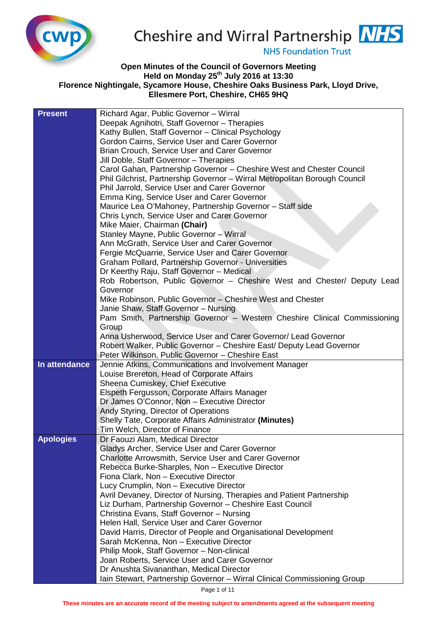

## Cheshire and Wirral Partnership **NHS**

**NHS Foundation Trust** 

## **Open Minutes of the Council of Governors Meeting Held on Monday 25th July 2016 at 13:30 Florence Nightingale, Sycamore House, Cheshire Oaks Business Park, Lloyd Drive, Ellesmere Port, Cheshire, CH65 9HQ**

| <b>Present</b>   | Richard Agar, Public Governor - Wirral                                     |
|------------------|----------------------------------------------------------------------------|
|                  | Deepak Agnihotri, Staff Governor - Therapies                               |
|                  | Kathy Bullen, Staff Governor - Clinical Psychology                         |
|                  | Gordon Cairns, Service User and Carer Governor                             |
|                  | Brian Crouch, Service User and Carer Governor                              |
|                  | Jill Doble, Staff Governor - Therapies                                     |
|                  | Carol Gahan, Partnership Governor - Cheshire West and Chester Council      |
|                  | Phil Gilchrist, Partnership Governor - Wirral Metropolitan Borough Council |
|                  | Phil Jarrold, Service User and Carer Governor                              |
|                  | Emma King, Service User and Carer Governor                                 |
|                  | Maurice Lea O'Mahoney, Partnership Governor - Staff side                   |
|                  | Chris Lynch, Service User and Carer Governor                               |
|                  | Mike Maier, Chairman (Chair)                                               |
|                  | Stanley Mayne, Public Governor - Wirral                                    |
|                  | Ann McGrath, Service User and Carer Governor                               |
|                  | Fergie McQuarrie, Service User and Carer Governor                          |
|                  | Graham Pollard, Partnership Governor - Universities                        |
|                  | Dr Keerthy Raju, Staff Governor - Medical                                  |
|                  | Rob Robertson, Public Governor - Cheshire West and Chester/ Deputy Lead    |
|                  | Governor                                                                   |
|                  | Mike Robinson, Public Governor – Cheshire West and Chester                 |
|                  | Janie Shaw, Staff Governor - Nursing                                       |
|                  | Pam Smith, Partnership Governor - Western Cheshire Clinical Commissioning  |
|                  | Group                                                                      |
|                  | Anna Usherwood, Service User and Carer Governor/ Lead Governor             |
|                  | Robert Walker, Public Governor - Cheshire East/ Deputy Lead Governor       |
|                  | Peter Wilkinson, Public Governor - Cheshire East                           |
| In attendance    | Jennie Atkins, Communications and Involvement Manager                      |
|                  | Louise Brereton, Head of Corporate Affairs                                 |
|                  | Sheena Cumiskey, Chief Executive                                           |
|                  | Elspeth Fergusson, Corporate Affairs Manager                               |
|                  | Dr James O'Connor, Non - Executive Director                                |
|                  | Andy Styring, Director of Operations                                       |
|                  | Shelly Tate, Corporate Affairs Administrator (Minutes)                     |
|                  | Tim Welch, Director of Finance                                             |
| <b>Apologies</b> | Dr Faouzi Alam, Medical Director                                           |
|                  | Gladys Archer, Service User and Carer Governor                             |
|                  | <b>Charlotte Arrowsmith, Service User and Carer Governor</b>               |
|                  | Rebecca Burke-Sharples, Non - Executive Director                           |
|                  | Fiona Clark, Non - Executive Director                                      |
|                  | Lucy Crumplin, Non - Executive Director                                    |
|                  | Avril Devaney, Director of Nursing, Therapies and Patient Partnership      |
|                  | Liz Durham, Partnership Governor - Cheshire East Council                   |
|                  | Christina Evans, Staff Governor - Nursing                                  |
|                  | Helen Hall, Service User and Carer Governor                                |
|                  | David Harris, Director of People and Organisational Development            |
|                  | Sarah McKenna, Non - Executive Director                                    |
|                  | Philip Mook, Staff Governor - Non-clinical                                 |
|                  | Joan Roberts, Service User and Carer Governor                              |
|                  | Dr Anushta Sivananthan, Medical Director                                   |
|                  | Iain Stewart, Partnership Governor - Wirral Clinical Commissioning Group   |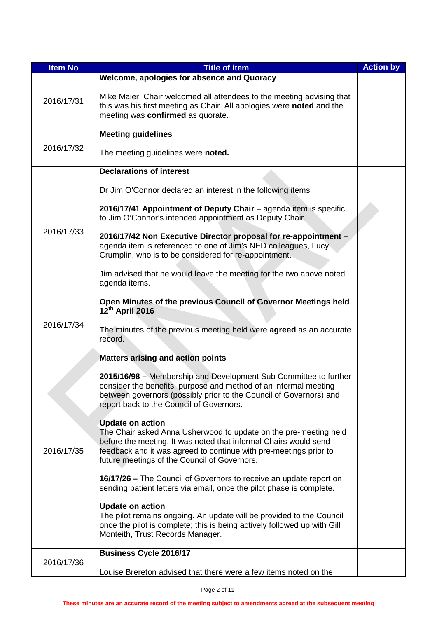| <b>Item No</b> | <b>Title of item</b>                                                                                                                                                                       | <b>Action by</b> |
|----------------|--------------------------------------------------------------------------------------------------------------------------------------------------------------------------------------------|------------------|
|                | Welcome, apologies for absence and Quoracy                                                                                                                                                 |                  |
| 2016/17/31     | Mike Maier, Chair welcomed all attendees to the meeting advising that<br>this was his first meeting as Chair. All apologies were noted and the<br>meeting was confirmed as quorate.        |                  |
|                | <b>Meeting guidelines</b>                                                                                                                                                                  |                  |
| 2016/17/32     | The meeting guidelines were noted.                                                                                                                                                         |                  |
|                | <b>Declarations of interest</b>                                                                                                                                                            |                  |
|                | Dr Jim O'Connor declared an interest in the following items;                                                                                                                               |                  |
|                | 2016/17/41 Appointment of Deputy Chair - agenda item is specific<br>to Jim O'Connor's intended appointment as Deputy Chair.                                                                |                  |
| 2016/17/33     | 2016/17/42 Non Executive Director proposal for re-appointment -<br>agenda item is referenced to one of Jim's NED colleagues, Lucy<br>Crumplin, who is to be considered for re-appointment. |                  |
|                | Jim advised that he would leave the meeting for the two above noted<br>agenda items.                                                                                                       |                  |
|                | Open Minutes of the previous Council of Governor Meetings held<br>12th April 2016                                                                                                          |                  |
| 2016/17/34     | The minutes of the previous meeting held were agreed as an accurate                                                                                                                        |                  |
|                | record.                                                                                                                                                                                    |                  |
|                | <b>Matters arising and action points</b>                                                                                                                                                   |                  |
|                |                                                                                                                                                                                            |                  |
|                | 2015/16/98 - Membership and Development Sub Committee to further<br>consider the benefits, purpose and method of an informal meeting                                                       |                  |
|                | between governors (possibly prior to the Council of Governors) and                                                                                                                         |                  |
|                | report back to the Council of Governors.                                                                                                                                                   |                  |
|                | <b>Update on action</b>                                                                                                                                                                    |                  |
|                | The Chair asked Anna Usherwood to update on the pre-meeting held                                                                                                                           |                  |
| 2016/17/35     | before the meeting. It was noted that informal Chairs would send<br>feedback and it was agreed to continue with pre-meetings prior to                                                      |                  |
|                | future meetings of the Council of Governors.                                                                                                                                               |                  |
|                | 16/17/26 – The Council of Governors to receive an update report on                                                                                                                         |                  |
|                | sending patient letters via email, once the pilot phase is complete.                                                                                                                       |                  |
|                | <b>Update on action</b>                                                                                                                                                                    |                  |
|                | The pilot remains ongoing. An update will be provided to the Council                                                                                                                       |                  |
|                | once the pilot is complete; this is being actively followed up with Gill<br>Monteith, Trust Records Manager.                                                                               |                  |
|                | <b>Business Cycle 2016/17</b>                                                                                                                                                              |                  |
| 2016/17/36     |                                                                                                                                                                                            |                  |
|                | Louise Brereton advised that there were a few items noted on the                                                                                                                           |                  |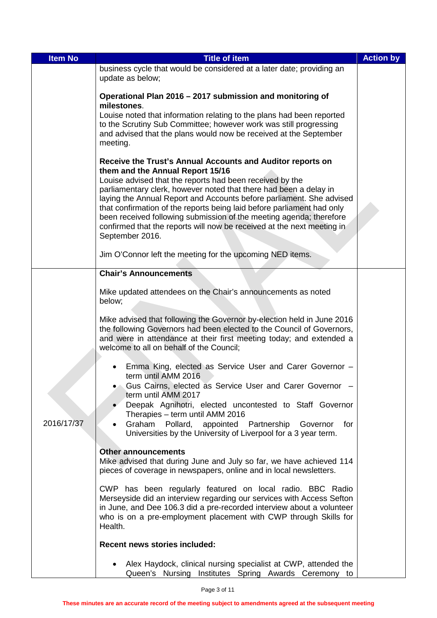| <b>Item No</b> | <b>Title of item</b>                                                                                                                                                                                                                                                                                                                                                                                                                                                                                                                                                                                               | <b>Action by</b> |
|----------------|--------------------------------------------------------------------------------------------------------------------------------------------------------------------------------------------------------------------------------------------------------------------------------------------------------------------------------------------------------------------------------------------------------------------------------------------------------------------------------------------------------------------------------------------------------------------------------------------------------------------|------------------|
|                | business cycle that would be considered at a later date; providing an<br>update as below;                                                                                                                                                                                                                                                                                                                                                                                                                                                                                                                          |                  |
|                | Operational Plan 2016 - 2017 submission and monitoring of<br>milestones.                                                                                                                                                                                                                                                                                                                                                                                                                                                                                                                                           |                  |
|                | Louise noted that information relating to the plans had been reported<br>to the Scrutiny Sub Committee; however work was still progressing<br>and advised that the plans would now be received at the September<br>meeting.                                                                                                                                                                                                                                                                                                                                                                                        |                  |
|                | Receive the Trust's Annual Accounts and Auditor reports on<br>them and the Annual Report 15/16<br>Louise advised that the reports had been received by the<br>parliamentary clerk, however noted that there had been a delay in<br>laying the Annual Report and Accounts before parliament. She advised<br>that confirmation of the reports being laid before parliament had only<br>been received following submission of the meeting agenda; therefore<br>confirmed that the reports will now be received at the next meeting in<br>September 2016.<br>Jim O'Connor left the meeting for the upcoming NED items. |                  |
|                | <b>Chair's Announcements</b>                                                                                                                                                                                                                                                                                                                                                                                                                                                                                                                                                                                       |                  |
|                | Mike updated attendees on the Chair's announcements as noted<br>below;<br>Mike advised that following the Governor by-election held in June 2016<br>the following Governors had been elected to the Council of Governors,<br>and were in attendance at their first meeting today; and extended a<br>welcome to all on behalf of the Council;                                                                                                                                                                                                                                                                       |                  |
| 2016/17/37     | Emma King, elected as Service User and Carer Governor -<br>term until AMM 2016<br>Gus Cairns, elected as Service User and Carer Governor -<br>term until AMM 2017<br>Deepak Agnihotri, elected uncontested to Staff Governor<br>Therapies - term until AMM 2016<br>Graham Pollard, appointed Partnership Governor<br>for<br>Universities by the University of Liverpool for a 3 year term.                                                                                                                                                                                                                         |                  |
|                | <b>Other announcements</b><br>Mike advised that during June and July so far, we have achieved 114<br>pieces of coverage in newspapers, online and in local newsletters.                                                                                                                                                                                                                                                                                                                                                                                                                                            |                  |
|                | CWP has been regularly featured on local radio. BBC Radio<br>Merseyside did an interview regarding our services with Access Sefton<br>in June, and Dee 106.3 did a pre-recorded interview about a volunteer<br>who is on a pre-employment placement with CWP through Skills for<br>Health.                                                                                                                                                                                                                                                                                                                         |                  |
|                | <b>Recent news stories included:</b>                                                                                                                                                                                                                                                                                                                                                                                                                                                                                                                                                                               |                  |
|                | Alex Haydock, clinical nursing specialist at CWP, attended the<br>Queen's Nursing Institutes Spring Awards Ceremony to                                                                                                                                                                                                                                                                                                                                                                                                                                                                                             |                  |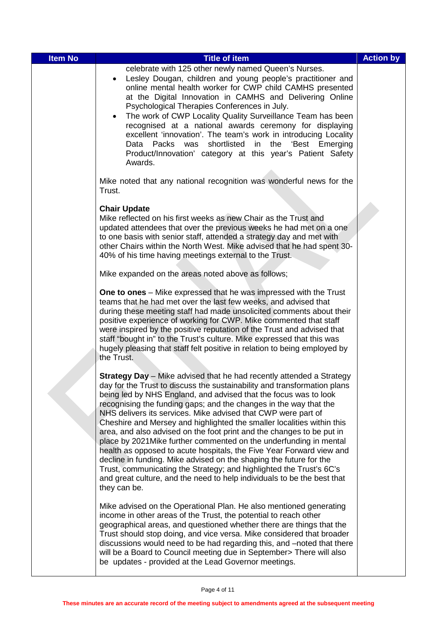| <b>Item No</b> | <b>Title of item</b>                                                                                                                                                                                                                                                                                                                                                                                                                                                                                                                                                                                                                                                                                                                                                                                                                                                                                       | <b>Action by</b> |
|----------------|------------------------------------------------------------------------------------------------------------------------------------------------------------------------------------------------------------------------------------------------------------------------------------------------------------------------------------------------------------------------------------------------------------------------------------------------------------------------------------------------------------------------------------------------------------------------------------------------------------------------------------------------------------------------------------------------------------------------------------------------------------------------------------------------------------------------------------------------------------------------------------------------------------|------------------|
|                | celebrate with 125 other newly named Queen's Nurses.<br>Lesley Dougan, children and young people's practitioner and<br>online mental health worker for CWP child CAMHS presented<br>at the Digital Innovation in CAMHS and Delivering Online<br>Psychological Therapies Conferences in July.<br>The work of CWP Locality Quality Surveillance Team has been<br>$\bullet$<br>recognised at a national awards ceremony for displaying<br>excellent 'innovation'. The team's work in introducing Locality<br>Data Packs was<br>shortlisted<br>in<br>the 'Best Emerging<br>Product/Innovation' category at this year's Patient Safety<br>Awards.                                                                                                                                                                                                                                                               |                  |
|                | Mike noted that any national recognition was wonderful news for the<br>Trust.                                                                                                                                                                                                                                                                                                                                                                                                                                                                                                                                                                                                                                                                                                                                                                                                                              |                  |
|                | <b>Chair Update</b><br>Mike reflected on his first weeks as new Chair as the Trust and<br>updated attendees that over the previous weeks he had met on a one<br>to one basis with senior staff, attended a strategy day and met with<br>other Chairs within the North West. Mike advised that he had spent 30-<br>40% of his time having meetings external to the Trust.                                                                                                                                                                                                                                                                                                                                                                                                                                                                                                                                   |                  |
|                | Mike expanded on the areas noted above as follows;                                                                                                                                                                                                                                                                                                                                                                                                                                                                                                                                                                                                                                                                                                                                                                                                                                                         |                  |
|                | One to ones - Mike expressed that he was impressed with the Trust<br>teams that he had met over the last few weeks, and advised that<br>during these meeting staff had made unsolicited comments about their<br>positive experience of working for CWP. Mike commented that staff<br>were inspired by the positive reputation of the Trust and advised that<br>staff "bought in" to the Trust's culture. Mike expressed that this was<br>hugely pleasing that staff felt positive in relation to being employed by<br>the Trust.                                                                                                                                                                                                                                                                                                                                                                           |                  |
|                | <b>Strategy Day</b> - Mike advised that he had recently attended a Strategy<br>day for the Trust to discuss the sustainability and transformation plans<br>being led by NHS England, and advised that the focus was to look<br>recognising the funding gaps; and the changes in the way that the<br>NHS delivers its services. Mike advised that CWP were part of<br>Cheshire and Mersey and highlighted the smaller localities within this<br>area, and also advised on the foot print and the changes to be put in<br>place by 2021 Mike further commented on the underfunding in mental<br>health as opposed to acute hospitals, the Five Year Forward view and<br>decline in funding. Mike advised on the shaping the future for the<br>Trust, communicating the Strategy; and highlighted the Trust's 6C's<br>and great culture, and the need to help individuals to be the best that<br>they can be. |                  |
|                | Mike advised on the Operational Plan. He also mentioned generating<br>income in other areas of the Trust, the potential to reach other<br>geographical areas, and questioned whether there are things that the<br>Trust should stop doing, and vice versa. Mike considered that broader<br>discussions would need to be had regarding this, and -noted that there<br>will be a Board to Council meeting due in September> There will also<br>be updates - provided at the Lead Governor meetings.                                                                                                                                                                                                                                                                                                                                                                                                          |                  |

I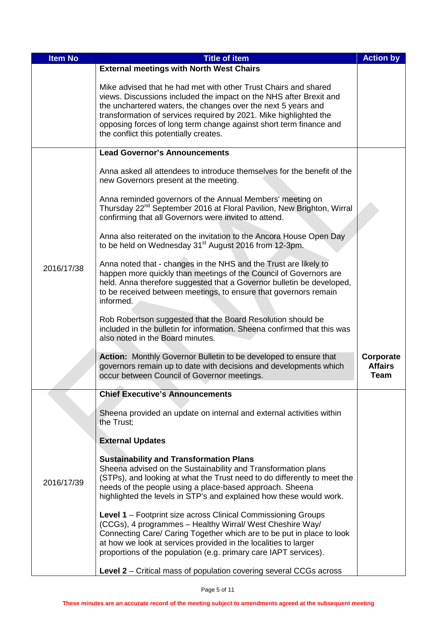| <b>Item No</b> | <b>Title of item</b>                                                                                                                                                                                                                                                                                                                                                                        | <b>Action by</b>                    |
|----------------|---------------------------------------------------------------------------------------------------------------------------------------------------------------------------------------------------------------------------------------------------------------------------------------------------------------------------------------------------------------------------------------------|-------------------------------------|
|                | <b>External meetings with North West Chairs</b>                                                                                                                                                                                                                                                                                                                                             |                                     |
|                | Mike advised that he had met with other Trust Chairs and shared<br>views. Discussions included the impact on the NHS after Brexit and<br>the unchartered waters, the changes over the next 5 years and<br>transformation of services required by 2021. Mike highlighted the<br>opposing forces of long term change against short term finance and<br>the conflict this potentially creates. |                                     |
|                | <b>Lead Governor's Announcements</b>                                                                                                                                                                                                                                                                                                                                                        |                                     |
|                | Anna asked all attendees to introduce themselves for the benefit of the<br>new Governors present at the meeting.                                                                                                                                                                                                                                                                            |                                     |
|                | Anna reminded governors of the Annual Members' meeting on<br>Thursday 22 <sup>nd</sup> September 2016 at Floral Pavilion, New Brighton, Wirral<br>confirming that all Governors were invited to attend.                                                                                                                                                                                     |                                     |
|                | Anna also reiterated on the invitation to the Ancora House Open Day<br>to be held on Wednesday 31 <sup>st</sup> August 2016 from 12-3pm.                                                                                                                                                                                                                                                    |                                     |
| 2016/17/38     | Anna noted that - changes in the NHS and the Trust are likely to<br>happen more quickly than meetings of the Council of Governors are<br>held. Anna therefore suggested that a Governor bulletin be developed,<br>to be received between meetings, to ensure that governors remain<br>informed.                                                                                             |                                     |
|                | Rob Robertson suggested that the Board Resolution should be<br>included in the bulletin for information. Sheena confirmed that this was<br>also noted in the Board minutes.                                                                                                                                                                                                                 |                                     |
|                | <b>Action:</b> Monthly Governor Bulletin to be developed to ensure that<br>governors remain up to date with decisions and developments which<br>occur between Council of Governor meetings.                                                                                                                                                                                                 | Corporate<br><b>Affairs</b><br>Team |
|                | <b>Chief Executive's Announcements</b>                                                                                                                                                                                                                                                                                                                                                      |                                     |
|                | Sheena provided an update on internal and external activities within<br>the Trust;                                                                                                                                                                                                                                                                                                          |                                     |
|                | <b>External Updates</b>                                                                                                                                                                                                                                                                                                                                                                     |                                     |
|                |                                                                                                                                                                                                                                                                                                                                                                                             |                                     |
|                | <b>Sustainability and Transformation Plans</b><br>Sheena advised on the Sustainability and Transformation plans                                                                                                                                                                                                                                                                             |                                     |
| 2016/17/39     | (STPs), and looking at what the Trust need to do differently to meet the                                                                                                                                                                                                                                                                                                                    |                                     |
|                | needs of the people using a place-based approach. Sheena<br>highlighted the levels in STP's and explained how these would work.                                                                                                                                                                                                                                                             |                                     |
|                | Level 1 - Footprint size across Clinical Commissioning Groups<br>(CCGs), 4 programmes - Healthy Wirral/ West Cheshire Way/<br>Connecting Care/ Caring Together which are to be put in place to look<br>at how we look at services provided in the localities to larger<br>proportions of the population (e.g. primary care IAPT services).                                                  |                                     |
|                | Level 2 – Critical mass of population covering several CCGs across                                                                                                                                                                                                                                                                                                                          |                                     |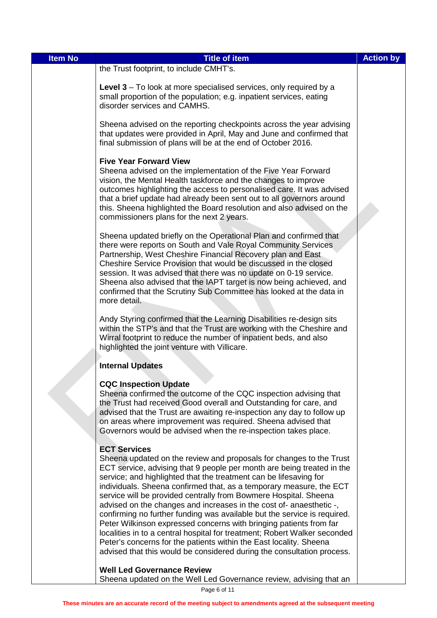| <b>Item No</b> | <b>Title of item</b>                                                                                                                                                                                                                                                                                                                                                                                                                                                                                                                                                                                                                                                                                                                                                                                                                      | <b>Action by</b> |
|----------------|-------------------------------------------------------------------------------------------------------------------------------------------------------------------------------------------------------------------------------------------------------------------------------------------------------------------------------------------------------------------------------------------------------------------------------------------------------------------------------------------------------------------------------------------------------------------------------------------------------------------------------------------------------------------------------------------------------------------------------------------------------------------------------------------------------------------------------------------|------------------|
|                | the Trust footprint, to include CMHT's.                                                                                                                                                                                                                                                                                                                                                                                                                                                                                                                                                                                                                                                                                                                                                                                                   |                  |
|                | Level 3 – To look at more specialised services, only required by a<br>small proportion of the population; e.g. inpatient services, eating<br>disorder services and CAMHS.                                                                                                                                                                                                                                                                                                                                                                                                                                                                                                                                                                                                                                                                 |                  |
|                | Sheena advised on the reporting checkpoints across the year advising<br>that updates were provided in April, May and June and confirmed that<br>final submission of plans will be at the end of October 2016.                                                                                                                                                                                                                                                                                                                                                                                                                                                                                                                                                                                                                             |                  |
|                | <b>Five Year Forward View</b><br>Sheena advised on the implementation of the Five Year Forward<br>vision, the Mental Health taskforce and the changes to improve<br>outcomes highlighting the access to personalised care. It was advised<br>that a brief update had already been sent out to all governors around<br>this. Sheena highlighted the Board resolution and also advised on the<br>commissioners plans for the next 2 years.                                                                                                                                                                                                                                                                                                                                                                                                  |                  |
|                | Sheena updated briefly on the Operational Plan and confirmed that<br>there were reports on South and Vale Royal Community Services<br>Partnership, West Cheshire Financial Recovery plan and East<br>Cheshire Service Provision that would be discussed in the closed<br>session. It was advised that there was no update on 0-19 service.<br>Sheena also advised that the IAPT target is now being achieved, and<br>confirmed that the Scrutiny Sub Committee has looked at the data in<br>more detail.                                                                                                                                                                                                                                                                                                                                  |                  |
|                | Andy Styring confirmed that the Learning Disabilities re-design sits<br>within the STP's and that the Trust are working with the Cheshire and<br>Wirral footprint to reduce the number of inpatient beds, and also<br>highlighted the joint venture with Villicare.                                                                                                                                                                                                                                                                                                                                                                                                                                                                                                                                                                       |                  |
|                | <b>Internal Updates</b>                                                                                                                                                                                                                                                                                                                                                                                                                                                                                                                                                                                                                                                                                                                                                                                                                   |                  |
|                | <b>CQC Inspection Update</b><br>Sheena confirmed the outcome of the CQC inspection advising that<br>the Trust had received Good overall and Outstanding for care, and<br>advised that the Trust are awaiting re-inspection any day to follow up<br>on areas where improvement was required. Sheena advised that<br>Governors would be advised when the re-inspection takes place.                                                                                                                                                                                                                                                                                                                                                                                                                                                         |                  |
|                | <b>ECT Services</b><br>Sheena updated on the review and proposals for changes to the Trust<br>ECT service, advising that 9 people per month are being treated in the<br>service; and highlighted that the treatment can be lifesaving for<br>individuals. Sheena confirmed that, as a temporary measure, the ECT<br>service will be provided centrally from Bowmere Hospital. Sheena<br>advised on the changes and increases in the cost of-anaesthetic -,<br>confirming no further funding was available but the service is required.<br>Peter Wilkinson expressed concerns with bringing patients from far<br>localities in to a central hospital for treatment; Robert Walker seconded<br>Peter's concerns for the patients within the East locality. Sheena<br>advised that this would be considered during the consultation process. |                  |
|                | <b>Well Led Governance Review</b><br>Sheena updated on the Well Led Governance review, advising that an                                                                                                                                                                                                                                                                                                                                                                                                                                                                                                                                                                                                                                                                                                                                   |                  |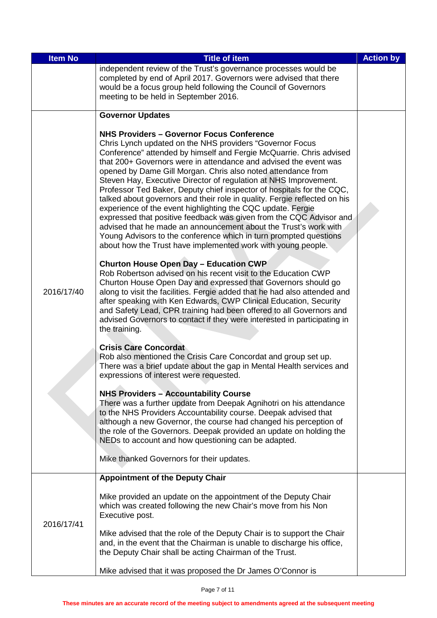| <b>Item No</b> | <b>Title of item</b>                                                                                                                                                                                                                                                                                                                                                                                                                                                                                                                                                                                                                                                                                                                                                                                                                                                                                                                                                                                                                                                                                                                                                                                                                                                                                                                                                                                                                                                                                                                                                                                                                                                                                                                                                                                                                                                                                                                                                                                                                                                     | <b>Action by</b> |
|----------------|--------------------------------------------------------------------------------------------------------------------------------------------------------------------------------------------------------------------------------------------------------------------------------------------------------------------------------------------------------------------------------------------------------------------------------------------------------------------------------------------------------------------------------------------------------------------------------------------------------------------------------------------------------------------------------------------------------------------------------------------------------------------------------------------------------------------------------------------------------------------------------------------------------------------------------------------------------------------------------------------------------------------------------------------------------------------------------------------------------------------------------------------------------------------------------------------------------------------------------------------------------------------------------------------------------------------------------------------------------------------------------------------------------------------------------------------------------------------------------------------------------------------------------------------------------------------------------------------------------------------------------------------------------------------------------------------------------------------------------------------------------------------------------------------------------------------------------------------------------------------------------------------------------------------------------------------------------------------------------------------------------------------------------------------------------------------------|------------------|
|                | independent review of the Trust's governance processes would be<br>completed by end of April 2017. Governors were advised that there<br>would be a focus group held following the Council of Governors<br>meeting to be held in September 2016.                                                                                                                                                                                                                                                                                                                                                                                                                                                                                                                                                                                                                                                                                                                                                                                                                                                                                                                                                                                                                                                                                                                                                                                                                                                                                                                                                                                                                                                                                                                                                                                                                                                                                                                                                                                                                          |                  |
|                | <b>Governor Updates</b>                                                                                                                                                                                                                                                                                                                                                                                                                                                                                                                                                                                                                                                                                                                                                                                                                                                                                                                                                                                                                                                                                                                                                                                                                                                                                                                                                                                                                                                                                                                                                                                                                                                                                                                                                                                                                                                                                                                                                                                                                                                  |                  |
| 2016/17/40     | <b>NHS Providers - Governor Focus Conference</b><br>Chris Lynch updated on the NHS providers "Governor Focus<br>Conference" attended by himself and Fergie McQuarrie. Chris advised<br>that 200+ Governors were in attendance and advised the event was<br>opened by Dame Gill Morgan. Chris also noted attendance from<br>Steven Hay, Executive Director of regulation at NHS Improvement.<br>Professor Ted Baker, Deputy chief inspector of hospitals for the CQC,<br>talked about governors and their role in quality. Fergie reflected on his<br>experience of the event highlighting the CQC update. Fergie<br>expressed that positive feedback was given from the CQC Advisor and<br>advised that he made an announcement about the Trust's work with<br>Young Advisors to the conference which in turn prompted questions<br>about how the Trust have implemented work with young people.<br><b>Churton House Open Day - Education CWP</b><br>Rob Robertson advised on his recent visit to the Education CWP<br>Churton House Open Day and expressed that Governors should go<br>along to visit the facilities. Fergie added that he had also attended and<br>after speaking with Ken Edwards, CWP Clinical Education, Security<br>and Safety Lead, CPR training had been offered to all Governors and<br>advised Governors to contact if they were interested in participating in<br>the training.<br><b>Crisis Care Concordat</b><br>Rob also mentioned the Crisis Care Concordat and group set up.<br>There was a brief update about the gap in Mental Health services and<br>expressions of interest were requested.<br><b>NHS Providers - Accountability Course</b><br>There was a further update from Deepak Agnihotri on his attendance<br>to the NHS Providers Accountability course. Deepak advised that<br>although a new Governor, the course had changed his perception of<br>the role of the Governors. Deepak provided an update on holding the<br>NEDs to account and how questioning can be adapted.<br>Mike thanked Governors for their updates. |                  |
|                | <b>Appointment of the Deputy Chair</b>                                                                                                                                                                                                                                                                                                                                                                                                                                                                                                                                                                                                                                                                                                                                                                                                                                                                                                                                                                                                                                                                                                                                                                                                                                                                                                                                                                                                                                                                                                                                                                                                                                                                                                                                                                                                                                                                                                                                                                                                                                   |                  |
| 2016/17/41     | Mike provided an update on the appointment of the Deputy Chair<br>which was created following the new Chair's move from his Non<br>Executive post.                                                                                                                                                                                                                                                                                                                                                                                                                                                                                                                                                                                                                                                                                                                                                                                                                                                                                                                                                                                                                                                                                                                                                                                                                                                                                                                                                                                                                                                                                                                                                                                                                                                                                                                                                                                                                                                                                                                       |                  |
|                | Mike advised that the role of the Deputy Chair is to support the Chair<br>and, in the event that the Chairman is unable to discharge his office,<br>the Deputy Chair shall be acting Chairman of the Trust.                                                                                                                                                                                                                                                                                                                                                                                                                                                                                                                                                                                                                                                                                                                                                                                                                                                                                                                                                                                                                                                                                                                                                                                                                                                                                                                                                                                                                                                                                                                                                                                                                                                                                                                                                                                                                                                              |                  |
|                | Mike advised that it was proposed the Dr James O'Connor is                                                                                                                                                                                                                                                                                                                                                                                                                                                                                                                                                                                                                                                                                                                                                                                                                                                                                                                                                                                                                                                                                                                                                                                                                                                                                                                                                                                                                                                                                                                                                                                                                                                                                                                                                                                                                                                                                                                                                                                                               |                  |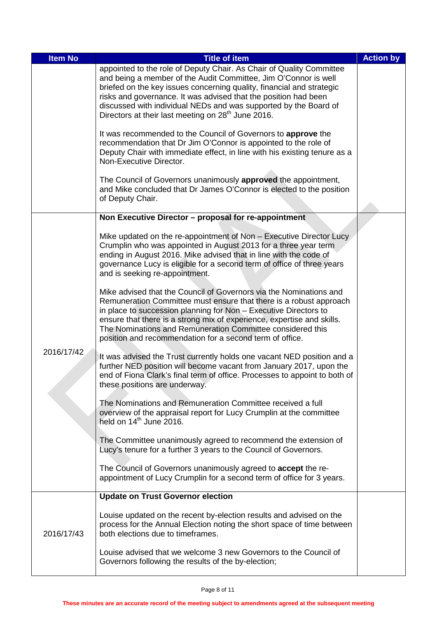| <b>Item No</b> | <b>Title of item</b>                                                                                                                                                                                                                                                                                                                                                                                                      | <b>Action by</b> |
|----------------|---------------------------------------------------------------------------------------------------------------------------------------------------------------------------------------------------------------------------------------------------------------------------------------------------------------------------------------------------------------------------------------------------------------------------|------------------|
|                | appointed to the role of Deputy Chair. As Chair of Quality Committee<br>and being a member of the Audit Committee, Jim O'Connor is well<br>briefed on the key issues concerning quality, financial and strategic<br>risks and governance. It was advised that the position had been<br>discussed with individual NEDs and was supported by the Board of<br>Directors at their last meeting on 28 <sup>th</sup> June 2016. |                  |
|                | It was recommended to the Council of Governors to approve the<br>recommendation that Dr Jim O'Connor is appointed to the role of<br>Deputy Chair with immediate effect, in line with his existing tenure as a<br>Non-Executive Director.                                                                                                                                                                                  |                  |
|                | The Council of Governors unanimously approved the appointment,<br>and Mike concluded that Dr James O'Connor is elected to the position<br>of Deputy Chair.                                                                                                                                                                                                                                                                |                  |
|                | Non Executive Director - proposal for re-appointment                                                                                                                                                                                                                                                                                                                                                                      |                  |
| 2016/17/42     | Mike updated on the re-appointment of Non - Executive Director Lucy<br>Crumplin who was appointed in August 2013 for a three year term<br>ending in August 2016. Mike advised that in line with the code of<br>governance Lucy is eligible for a second term of office of three years<br>and is seeking re-appointment.                                                                                                   |                  |
|                | Mike advised that the Council of Governors via the Nominations and<br>Remuneration Committee must ensure that there is a robust approach<br>in place to succession planning for Non - Executive Directors to<br>ensure that there is a strong mix of experience, expertise and skills.<br>The Nominations and Remuneration Committee considered this<br>position and recommendation for a second term of office.          |                  |
|                | It was advised the Trust currently holds one vacant NED position and a<br>further NED position will become vacant from January 2017, upon the<br>end of Fiona Clark's final term of office. Processes to appoint to both of<br>these positions are underway.                                                                                                                                                              |                  |
|                | The Nominations and Remuneration Committee received a full<br>overview of the appraisal report for Lucy Crumplin at the committee<br>held on 14 <sup>th</sup> June 2016.                                                                                                                                                                                                                                                  |                  |
|                | The Committee unanimously agreed to recommend the extension of<br>Lucy's tenure for a further 3 years to the Council of Governors.                                                                                                                                                                                                                                                                                        |                  |
|                | The Council of Governors unanimously agreed to accept the re-<br>appointment of Lucy Crumplin for a second term of office for 3 years.                                                                                                                                                                                                                                                                                    |                  |
|                | <b>Update on Trust Governor election</b>                                                                                                                                                                                                                                                                                                                                                                                  |                  |
| 2016/17/43     | Louise updated on the recent by-election results and advised on the<br>process for the Annual Election noting the short space of time between<br>both elections due to timeframes.                                                                                                                                                                                                                                        |                  |
|                | Louise advised that we welcome 3 new Governors to the Council of<br>Governors following the results of the by-election;                                                                                                                                                                                                                                                                                                   |                  |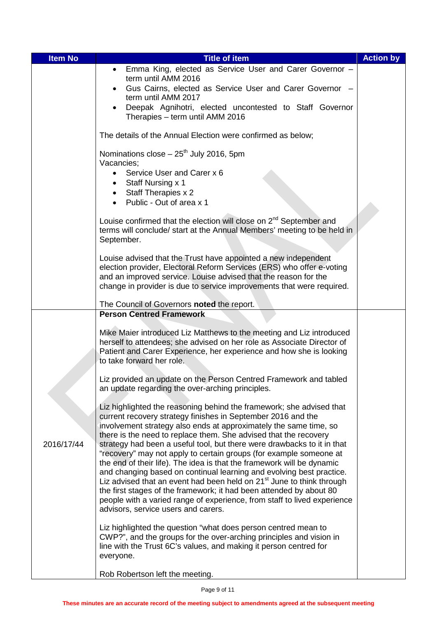| <b>Item No</b> | <b>Title of item</b>                                                                                                                                                                                                                                                                                                                                                                                                                                                                                                                                                                                                                                                                                                                                                                                                                                            | <b>Action by</b> |
|----------------|-----------------------------------------------------------------------------------------------------------------------------------------------------------------------------------------------------------------------------------------------------------------------------------------------------------------------------------------------------------------------------------------------------------------------------------------------------------------------------------------------------------------------------------------------------------------------------------------------------------------------------------------------------------------------------------------------------------------------------------------------------------------------------------------------------------------------------------------------------------------|------------------|
|                | Emma King, elected as Service User and Carer Governor -<br>$\bullet$<br>term until AMM 2016                                                                                                                                                                                                                                                                                                                                                                                                                                                                                                                                                                                                                                                                                                                                                                     |                  |
|                | Gus Cairns, elected as Service User and Carer Governor -<br>term until AMM 2017                                                                                                                                                                                                                                                                                                                                                                                                                                                                                                                                                                                                                                                                                                                                                                                 |                  |
|                | Deepak Agnihotri, elected uncontested to Staff Governor<br>$\bullet$<br>Therapies - term until AMM 2016                                                                                                                                                                                                                                                                                                                                                                                                                                                                                                                                                                                                                                                                                                                                                         |                  |
|                | The details of the Annual Election were confirmed as below;                                                                                                                                                                                                                                                                                                                                                                                                                                                                                                                                                                                                                                                                                                                                                                                                     |                  |
|                | Nominations $close - 25th$ July 2016, 5pm<br>Vacancies;<br>Service User and Carer x 6<br>$\bullet$                                                                                                                                                                                                                                                                                                                                                                                                                                                                                                                                                                                                                                                                                                                                                              |                  |
|                | Staff Nursing x 1<br>Staff Therapies x 2<br>Public - Out of area x 1                                                                                                                                                                                                                                                                                                                                                                                                                                                                                                                                                                                                                                                                                                                                                                                            |                  |
|                | Louise confirmed that the election will close on 2 <sup>nd</sup> September and<br>terms will conclude/ start at the Annual Members' meeting to be held in<br>September.                                                                                                                                                                                                                                                                                                                                                                                                                                                                                                                                                                                                                                                                                         |                  |
|                | Louise advised that the Trust have appointed a new independent<br>election provider, Electoral Reform Services (ERS) who offer e-voting<br>and an improved service. Louise advised that the reason for the<br>change in provider is due to service improvements that were required.                                                                                                                                                                                                                                                                                                                                                                                                                                                                                                                                                                             |                  |
|                | The Council of Governors noted the report.                                                                                                                                                                                                                                                                                                                                                                                                                                                                                                                                                                                                                                                                                                                                                                                                                      |                  |
|                | <b>Person Centred Framework</b>                                                                                                                                                                                                                                                                                                                                                                                                                                                                                                                                                                                                                                                                                                                                                                                                                                 |                  |
|                | Mike Maier introduced Liz Matthews to the meeting and Liz introduced<br>herself to attendees; she advised on her role as Associate Director of<br>Patient and Carer Experience, her experience and how she is looking<br>to take forward her role.                                                                                                                                                                                                                                                                                                                                                                                                                                                                                                                                                                                                              |                  |
|                | Liz provided an update on the Person Centred Framework and tabled<br>an update regarding the over-arching principles.                                                                                                                                                                                                                                                                                                                                                                                                                                                                                                                                                                                                                                                                                                                                           |                  |
| 2016/17/44     | Liz highlighted the reasoning behind the framework; she advised that<br>current recovery strategy finishes in September 2016 and the<br>involvement strategy also ends at approximately the same time, so<br>there is the need to replace them. She advised that the recovery<br>strategy had been a useful tool, but there were drawbacks to it in that<br>"recovery" may not apply to certain groups (for example someone at<br>the end of their life). The idea is that the framework will be dynamic<br>and changing based on continual learning and evolving best practice.<br>Liz advised that an event had been held on 21 <sup>st</sup> June to think through<br>the first stages of the framework; it had been attended by about 80<br>people with a varied range of experience, from staff to lived experience<br>advisors, service users and carers. |                  |
|                | Liz highlighted the question "what does person centred mean to<br>CWP?", and the groups for the over-arching principles and vision in<br>line with the Trust 6C's values, and making it person centred for<br>everyone.                                                                                                                                                                                                                                                                                                                                                                                                                                                                                                                                                                                                                                         |                  |
|                | Rob Robertson left the meeting.                                                                                                                                                                                                                                                                                                                                                                                                                                                                                                                                                                                                                                                                                                                                                                                                                                 |                  |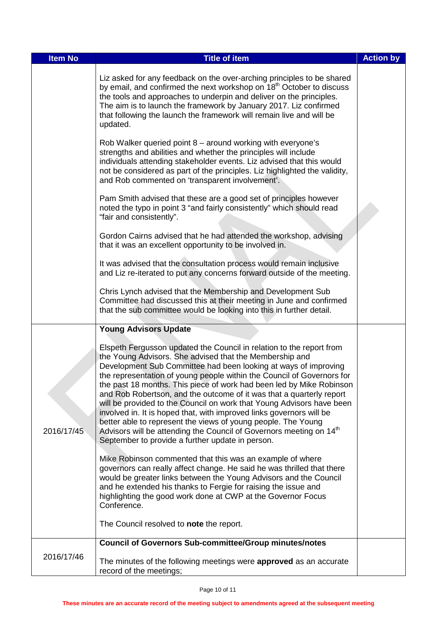| <b>Item No</b> | <b>Title of item</b>                                                                                                                                                                                                                                                                                                                                                                                                                                                                                                                                                                                                                                                                                                                                                                  | <b>Action by</b> |
|----------------|---------------------------------------------------------------------------------------------------------------------------------------------------------------------------------------------------------------------------------------------------------------------------------------------------------------------------------------------------------------------------------------------------------------------------------------------------------------------------------------------------------------------------------------------------------------------------------------------------------------------------------------------------------------------------------------------------------------------------------------------------------------------------------------|------------------|
|                | Liz asked for any feedback on the over-arching principles to be shared<br>by email, and confirmed the next workshop on 18 <sup>th</sup> October to discuss<br>the tools and approaches to underpin and deliver on the principles.<br>The aim is to launch the framework by January 2017. Liz confirmed<br>that following the launch the framework will remain live and will be<br>updated.                                                                                                                                                                                                                                                                                                                                                                                            |                  |
|                | Rob Walker queried point 8 – around working with everyone's<br>strengths and abilities and whether the principles will include<br>individuals attending stakeholder events. Liz advised that this would<br>not be considered as part of the principles. Liz highlighted the validity,<br>and Rob commented on 'transparent involvement'.                                                                                                                                                                                                                                                                                                                                                                                                                                              |                  |
|                | Pam Smith advised that these are a good set of principles however<br>noted the typo in point 3 "and fairly consistently" which should read<br>"fair and consistently".                                                                                                                                                                                                                                                                                                                                                                                                                                                                                                                                                                                                                |                  |
|                | Gordon Cairns advised that he had attended the workshop, advising<br>that it was an excellent opportunity to be involved in.                                                                                                                                                                                                                                                                                                                                                                                                                                                                                                                                                                                                                                                          |                  |
|                | It was advised that the consultation process would remain inclusive<br>and Liz re-iterated to put any concerns forward outside of the meeting.                                                                                                                                                                                                                                                                                                                                                                                                                                                                                                                                                                                                                                        |                  |
|                | Chris Lynch advised that the Membership and Development Sub<br>Committee had discussed this at their meeting in June and confirmed<br>that the sub committee would be looking into this in further detail.                                                                                                                                                                                                                                                                                                                                                                                                                                                                                                                                                                            |                  |
|                | <b>Young Advisors Update</b>                                                                                                                                                                                                                                                                                                                                                                                                                                                                                                                                                                                                                                                                                                                                                          |                  |
| 2016/17/45     | Elspeth Fergusson updated the Council in relation to the report from<br>the Young Advisors. She advised that the Membership and<br>Development Sub Committee had been looking at ways of improving<br>the representation of young people within the Council of Governors for<br>the past 18 months. This piece of work had been led by Mike Robinson<br>and Rob Robertson, and the outcome of it was that a quarterly report<br>will be provided to the Council on work that Young Advisors have been<br>involved in. It is hoped that, with improved links governors will be<br>better able to represent the views of young people. The Young<br>Advisors will be attending the Council of Governors meeting on 14 <sup>th</sup><br>September to provide a further update in person. |                  |
|                | Mike Robinson commented that this was an example of where<br>governors can really affect change. He said he was thrilled that there<br>would be greater links between the Young Advisors and the Council<br>and he extended his thanks to Fergie for raising the issue and<br>highlighting the good work done at CWP at the Governor Focus<br>Conference.                                                                                                                                                                                                                                                                                                                                                                                                                             |                  |
|                | The Council resolved to note the report.                                                                                                                                                                                                                                                                                                                                                                                                                                                                                                                                                                                                                                                                                                                                              |                  |
|                | <b>Council of Governors Sub-committee/Group minutes/notes</b>                                                                                                                                                                                                                                                                                                                                                                                                                                                                                                                                                                                                                                                                                                                         |                  |
| 2016/17/46     | The minutes of the following meetings were approved as an accurate<br>record of the meetings;                                                                                                                                                                                                                                                                                                                                                                                                                                                                                                                                                                                                                                                                                         |                  |